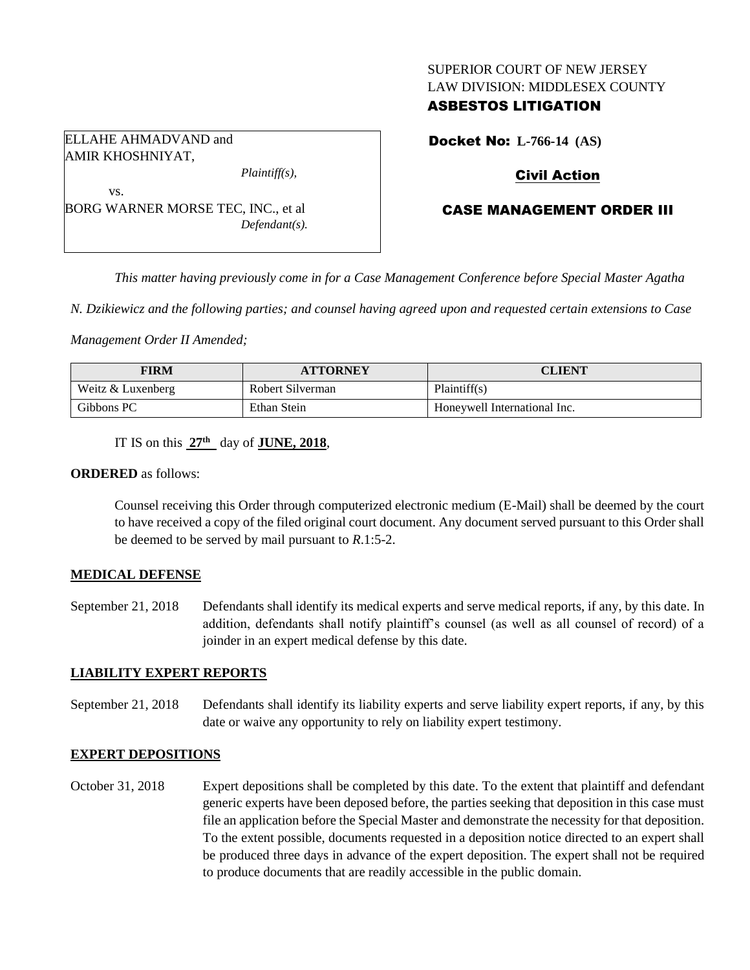### SUPERIOR COURT OF NEW JERSEY LAW DIVISION: MIDDLESEX COUNTY

## ASBESTOS LITIGATION

ELLAHE AHMADVAND and AMIR KHOSHNIYAT,

vs.

*Plaintiff(s),*

BORG WARNER MORSE TEC, INC., et al *Defendant(s).* Docket No: **L-766-14 (AS)** 

## Civil Action

## CASE MANAGEMENT ORDER III

*This matter having previously come in for a Case Management Conference before Special Master Agatha* 

*N. Dzikiewicz and the following parties; and counsel having agreed upon and requested certain extensions to Case* 

*Management Order II Amended;*

| <b>FIRM</b>       | <b>ATTORNEY</b>  | <b>CLIENT</b>                |
|-------------------|------------------|------------------------------|
| Weitz & Luxenberg | Robert Silverman | Plaintiff(s)                 |
| Gibbons PC        | Ethan Stein      | Honeywell International Inc. |

IT IS on this **27th** day of **JUNE, 2018**,

#### **ORDERED** as follows:

Counsel receiving this Order through computerized electronic medium (E-Mail) shall be deemed by the court to have received a copy of the filed original court document. Any document served pursuant to this Order shall be deemed to be served by mail pursuant to *R*.1:5-2.

### **MEDICAL DEFENSE**

September 21, 2018 Defendants shall identify its medical experts and serve medical reports, if any, by this date. In addition, defendants shall notify plaintiff's counsel (as well as all counsel of record) of a joinder in an expert medical defense by this date.

### **LIABILITY EXPERT REPORTS**

September 21, 2018 Defendants shall identify its liability experts and serve liability expert reports, if any, by this date or waive any opportunity to rely on liability expert testimony.

## **EXPERT DEPOSITIONS**

October 31, 2018 Expert depositions shall be completed by this date. To the extent that plaintiff and defendant generic experts have been deposed before, the parties seeking that deposition in this case must file an application before the Special Master and demonstrate the necessity for that deposition. To the extent possible, documents requested in a deposition notice directed to an expert shall be produced three days in advance of the expert deposition. The expert shall not be required to produce documents that are readily accessible in the public domain.